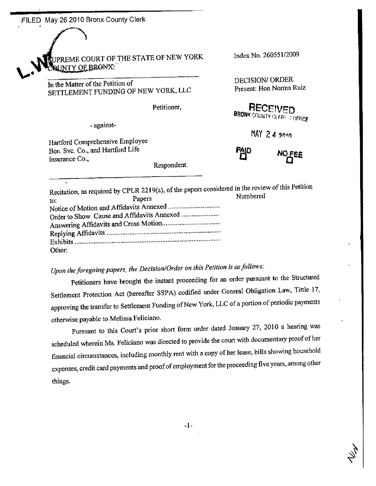FILED May 26 2010 Bronx County Clerk

PREME COURT OF THE STATE OF NEW YORK **UNTY OF BRONX** 

In the Matter of the Petition of SETTLEMENT FUNDING OF NEW YORK, LLC

Petitioner,

- against-

Hartford Comprehensive Employee Ben. Svc. Co., and Hartford Life Insurance Co.,

Respondent.

Index No. 260551/2009

DECISION/ ORDER Present: Hon Norma Ruiz

**BRONX COUNTY OLFRE STOFFICE** 

MAY 2.4  $201n$ 



Recitation, as required by CPLR 2219(a), of the papers considered in the review of this Petition Numbered Papers to: Other:

## Upon the foregoing papers, the Decision/Order on this Petition is as follows:

Petitioners have brought the instant proceeding for an order pursuant to the Structured Settlement Protection Act (hereafter SSPA) codified under General Obligation Law, Tittle 17, approving the transfer to Settlement Funding of New York, LLC of a portion of periodic payments otherwise payable to Melissa Feliciano.

Pursuant to this Court's prior short form order dated January 27, 2010 a hearing was scheduled wherein Ms. Feliciano was directed to provide the court with documentary proof of her financial circumstances, including monthly rent with a copy of her lease, bills showing household expenses, credit card payments and proof of employment for the proceeding five years, among other things.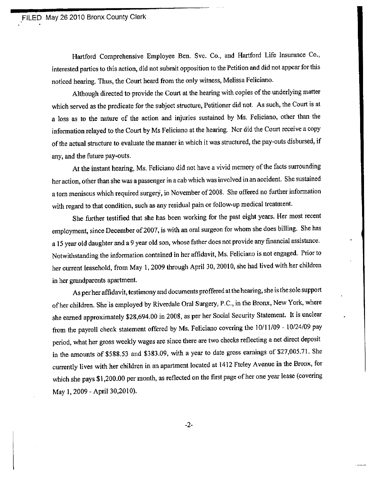ia

Hartford Comprehensive Employee Ben. Svc. Co., and Hartford Life Insurance Co., interestcd parties to this action, did not submit opposition to the Petition and did not appear for this noticed hearing. Thus, the Court heard from the only witness, Melissa Feliciano.

Although directed to provide the Court at the hearing with copies of the underlying matter which served as the predicate for the subject structure, Petitioner did not. As such, the Court is at a loss as to the nature of thc action and injuries sustained by Ms. Feliciano, other than the information relayed to the Court by Ms Feliciano at the hearing. Nor did the Court receive a copy of the actual structure to evaluate the manner in which it was structured, the pay-outs disbuned, if any, and the future pay-outs.

At the instant hearing, Ms. Feliciano did not have a vivid memory of the facts surrounding heraction, other than she was a passenger in a cab which was involved in an accident. She sustained a torn meniscus which required surgery, in November of 2008. She offered no further information with regard to that condition, such as any residual pain or follow-up medical treatment.

She further testified that she has been working for the past eight years. Her most recent employment, since December of 2007, is with an oral surgeon for whom she does billing. She has a 15 year old daughter and a 9 year old son, whose father does not provide any financial assistance. Notwithstanding the information contained in her affidavit, Ms. Feliciano is not engaged. Prior to her current leasehold, from May 1, 2009 through April 30, 20010, she had lived with her children in her grandparents apartment.

As per her affrdavit, testimony and docurnents proffered at the hearing, she is the sole support of her children. She is employed by Riverdale Oral Surgery, P.C., in the Bronx, New York, where she earned approximately \$28,694.00 in 2008, as per her Social Security Statement. It is unclear from the payroll check statement offered by Ms. Feliciano covering the 10/11/09 - 10/24/09 pay period, what her gross weekly wages are since there are two checks reflecting a net direct deposit in the amounts ôf \$588.53 and \$383.09, with a year to date gross earnings of \$27,005.71. She currently lives with her children in an apartment located at 1412 Fteley Avenue in the Bronx, for which she pays \$1,200.00 per month, as reflected on the first page of her one year lease (covering May 1, 2009 - April 30,2010).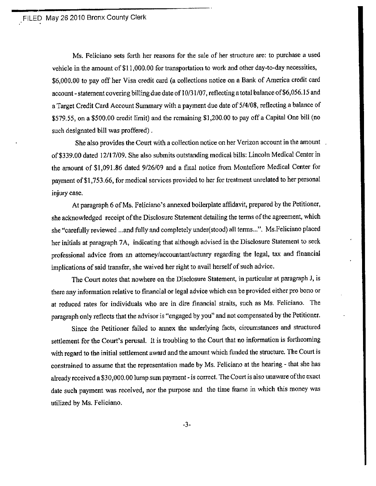æ

Ms. Feliciano sets forth her reasons for the sale of her structure are: to purchase a used vehicle in the amount of \$11,000.00 for transportation to work and other day-to-day necessities, \$6,000.00 to pay off her Visa credit card (a collections notice on a Bank of America credit card account - statement covering billing due date of 10/31/07, reflecting a total balance of \$6,056.15 and <sup>a</sup>Target Credit Card Account Summary with a payment due date of 5/4/08, reflccting a balance of \$579.55, on a \$500.00 credit limit) and the rernaining \$1,200.00 to pay off a Capital One bill (no such designated bill was proffered) .

She also provides the Court with a collection notice on her Verizon account in the amount. of \$339.00 dated 12/17/09. She also submits outstanding medical bills: Lincoln Medical Center in the amount of \$1,091.86 dated 9/26/09 and a final notice from Montefiore Medical Center for payment of \$1,753.66, for medical services provided to her for treatment unrelated to her personal injury case.

At paragraph 6 of Ms. Feliciano's annexed boilerplatc affidavit, prepared by the Petitioner, she acknowledged receipt of the Disclosure Statement detailing the terms of the agreement, which she "carefully reviewed ..,and fully and completely under(stood) all terms...". Ms.Feliciano placed her initials at paragraph 7A, indicating that although advised in the Disclosure Statement to seek professional advice from an attorney/accountant/actuary regarding the legal, tax and financial implicatíons of said transfer, she waived her right to avail herself of such advice.

The Court notes that nowhere on the Disclosure Slatement, in particular at paragraph J, is there any information relative to financial or legal advice which can be provided either pro bono or at reduced rates for individuals who are in dire financial straits, such as Ms. Feliciano. The paragraph only reflects that the advisor is "engaged by you" and not compensated by the Petitioncr.

Since the Petitioner failed to annex the underlying facts, circumstances and structured settlement for the Court's perusal. It is troubling to the Court that no information is forthcoming with regard to the initial settlement award and the amount which funded the structure. The Court is constrained to assume that the representation made by Ms. Feliciano at the hearing - that she has already received a \$30,000.00 lump sum payment - is correct. The Court is also unaware of the exact date such payment was received, nor the purpose and the time frame in which this money was utilízed by Ms. Feliciano.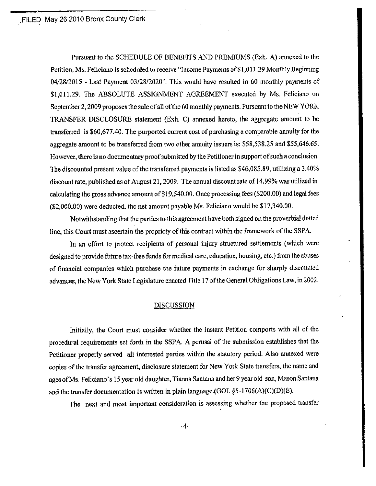.FILED May 262010 Bronx County Clerk

Pwsuant to the SCHEDULE OF BENEFITS AND PREMIUMS (Exh. A) annexed to the Petition, Ms. Feliciano is scheduled to receive "lncome Payments of \$1,01 1.29 Monthly Beginning  $04/28/2015$  - Last Payment  $03/28/2020$ ". This would have resulted in 60 monthly payments of \$1,011.29. The ABSOLUTE ASSIGNMENT AGREEMENT executed by Ms. Feliciano on September 2, 2009 proposes the sale of all of the 60 monthly payments. Pursuant to the NEW YORK TRANSFER DISCLOSURE statement (Exh. C) annexed hereto, the aggregate amount to be transferred is \$60,677.40. The purported current cost of purchasing a comparable annuity for the aggregate amount to be transferred from two other annuity issuers is: \$58,538.25 and \$55,646.65. However, there is no documentary proof submitted by the Petitioner in support of such a conclusion. The discounted present value of the transferred payments is listed as \$46,085.89, utilizing a 3.40% discount rate, published as of August 21, 2009. The annual discount rate of 14.99% was utilized in calculating the gross advance amount of \$19,540.00. Once processing fees (\$200.00) and legal fees (\$2,000.00) were deducted, the net amount payable Ms. Feliciano would be \$17,340.00.

Notwithstanding that the parties to this agreement have both signed on the proverbial dotted line, this Court must ascertain the propriety of this contract within the framework of the SSPA.

In an effort to protect recipients of personal injury structured settlements (which were designed to provide future tax-free funds for medical care, education, housing, etc.) from the abuses of financial companies which purchase the future payments in exchange for sharply discounted advances, the New York State Legislature enacted Title 17 of the General Obligations Law, in 2002.

## **DISCUSSION**

Initially, the Court must consider whether the instant Petition comports with all of the procedural requirements set forth in the SSPA. A perusal of the submission establishes that the Petitioner properly served all interested parties within the statutory period. Also annexed were copies of the transfer agreement, disclosure statement for New York State transfers, the name and ages of Ms. Feliciano's 15 year old daughter, Tianna Santana and her 9 year old son, Mason Santana and the transfer documentation is written in plain language.(GOL  $\S$ 5-1706(A)(C)(D)(E).

The next and most important consideration is assessing whether the proposed transfer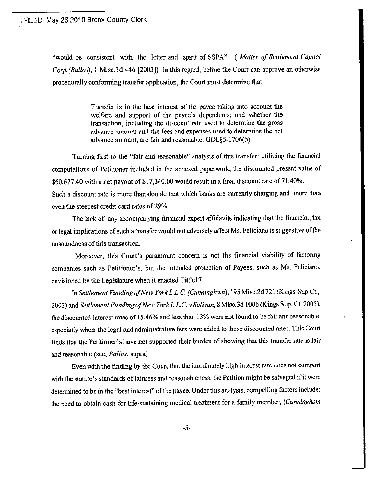"would be consistent with the letter and spirit of SSPA" (Matter of Settlement Capital Corp. (Ballos), 1 Misc.3d 446 [2003]). In this regard, before the Court can approve an otherwise procedurally conforming transfer application, the Court must determine that:

> Transfer is in the best interest of the payee taking into account the welfare and support of the payee's dependents; and whether the transaction, including the discount rate used to determine the gross advance amount and the fees and expenses used to determine the net advance amount, are fair and reasonable. GOL§5-1706(b)

Turning first to the "fair and reasonable" analysis of this transfer: utilizing the financial computations of Petitioner included in the annexed paperwork, the discounted present value of \$60,677.40 with a net payout of \$17,340.00 would result in a final discount rate of 71.40%. Such a discount rate is more than double that which banks are currently charging and more than even the steepest credit card rates of 29%.

The lack of any accompanying financial expert affidavits indicating that the financial, tax or legal implications of such a transfer would not adversely affect Ms. Feliciano is suggestive of the unsoundness of this transaction.

Moreover, this Court's paramount concern is not the financial viability of factoring companies such as Petitioner's, but the intended protection of Payees, such as Ms. Feliciano, envisioned by the Legislature when it enacted Tittle17.

In Settlement Funding of New York L.L.C. (Cunningham), 195 Misc.2d 721 (Kings Sup.Ct., 2003) and Settlement Funding of New York L.L.C. v Solivan, 8 Misc.3d 1006 (Kings Sup. Ct. 2005), the discounted interest rates of 15.46% and less than 13% were not found to be fair and reasonable, especially when the legal and administrative fees were added to those discounted rates. This Court finds that the Petitioner's have not supported their burden of showing that this transfer rate is fair and reasonable (see, Ballos, supra)

Even with the finding by the Court that the inordinately high interest rate does not comport with the statute's standards of fairness and reasonableness, the Petition might be salvaged if it were determined to be in the "best interest" of the payee. Under this analysis, compelling factors include: the need to obtain cash for life-sustaining medical treatment for a family member, (Cunningham

 $-5-$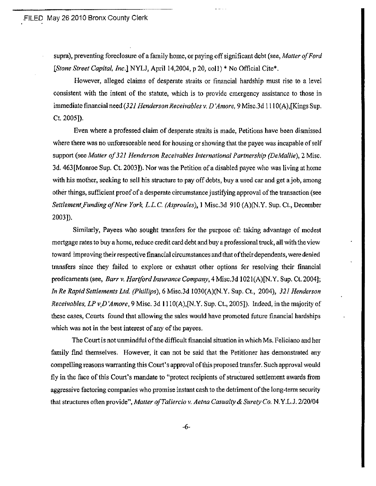supra), preventing foreclosure of a family home, or paying off significant debt (see, Matter of Ford [Stone Street Capital, Inc.] NYLJ, April 14,2004, p 20, col1) \* No Official Cite\*.

However, alleged claims of desperate straits or financial hardship must rise to a level consistent with the intent of the statute, which is to provide emergency assistance to those in immediate financial need (321 Henderson Receivables v. D'Amore, 9 Misc.3d 1110(A), [Kings Sup. Ct. 2005]).

Even where a professed claim of desperate straits is made, Petitions have been dismissed where there was no unforeseeable need for housing or showing that the payee was incapable of self support (see Matter of 321 Henderson Receivables International Partnership (DeMallie), 2 Misc. 3d. 463 [Monroe Sup. Ct. 2003]). Nor was the Petition of a disabled payee who was living at home with his mother, seeking to sell his structure to pay off debts, buy a used car and get a job, among other things, sufficient proof of a desperate circumstance justifying approval of the transaction (see Settlement\_Funding of New York, L.L.C. (Asproules), 1 Misc.3d 910 (A)(N.Y. Sup. Ct., December 2003]).

Similarly, Payees who sought transfers for the purpose of: taking advantage of modest mortgage rates to buy a home, reduce credit card debt and buy a professional truck, all with the view toward improving their respective financial circumstances and that of their dependents, were denied transfers since they failed to explore or exhaust other options for resolving their financial predicaments (see, Barr v. Hartford Insurance Company, 4 Misc.3d 1021(A)[N, Y, Sup. Ct. 2004]; In Re Rapid Settlements Ltd. (Phillips), 6 Misc.3d 1030(A)(N.Y. Sup. Ct., 2004), 321 Henderson *Receivables, LP v D'Amore*, 9 Misc. 3d 1110(A), [N.Y. Sup. Ct., 2005]). Indeed, in the majority of these cases, Courts found that allowing the sales would have promoted future financial hardships which was not in the best interest of any of the payees.

The Court is not unmindful of the difficult financial situation in which Ms. Feliciano and her family find themselves. However, it can not be said that the Petitioner has demonstrated any compelling reasons warranting this Court's approval of this proposed transfer. Such approval would fly in the face of this Court's mandate to "protect recipients of structured settlement awards from aggressive factoring companies who promise instant cash to the detriment of the long-term security that structures often provide", Matter of Taliercio v. Aetna Casualty & Surety Co. N.Y.L.J. 2/20/04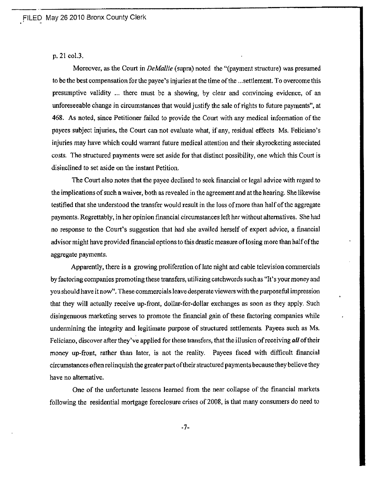p.21 col.3.

Moreover, as the Court in *DeMallie* (supra) noted the "(payment structure) was presumed to be the best compensation for the payee's injuries at the time of the ...settlement. To overcome this presumptive validity ... there must be a showing, by clear and convincing evidence, of an unforesçcable change in circumstances that would justify the sale of rights to future payments', at 468. As noted, since Petitioner failed to provide the Court with any medical information of the payces subject injuries, the Court can not evaluate what, if any, residual effects Ms. Feliciano's injuries may have which could warrant future medical attention and their skyrocketing associated costs. The structured payments were set aside for that distinct possibility, one which this Court is disinolined to set aside on the instant Petition,

The Court also notes that the payee declined to seek financial or legal advice with regard to the implications of such a waiver, both as revealed in the agreement and at the hearing. She likewise testified that she understood the transfer would result in the loss of more than half of the aggregate payments. Regrettably, in her opinion financial circumstanccs lefr her without alternatives. She had no response to the Court's suggestion thal had she availed herself of expert advice, a frnancial advisor might have provided financial options to this drastic measure of losing more than half of the aggregate payments.

Apparcntly, there is a growing proliferation of latc night and cablc television commercials byfactoring companies promotingthese lransfers, utilizing catchwords such as "It's yourmoney and you should have it now". These commercials leave desperate viewers with the purposeful impression that they will actually rcceive up-front, dollar-for-dollar exchanges as soon as they apply. Such disingenuous marketing serves to promote the financial gain of these factoring companies while undermining the íntegrity and legitimate purpose of structued settlements. Payees such as Ms. Feliciano, discover after they've applied for these transfers, that the illusion of receiving all of their money up-front, rather than later, is not the reality. Payees faced with diflìcult financial circumstances often relinquish the greater part of their structured payments because they believe they have no altemative.

One of the unfortunate lessons learned from the near collapse of the financial markets following the residential mortgage foreclosure crises of 2008, is that many consumers do need to